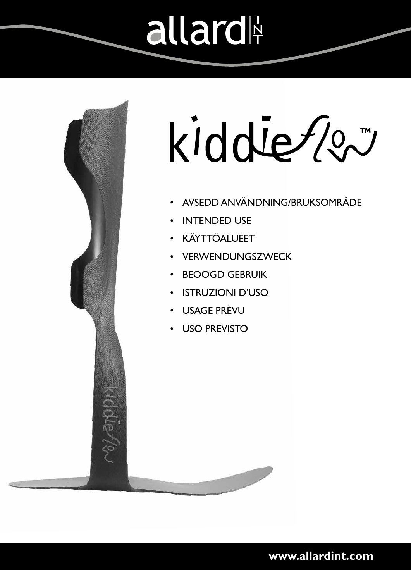# allard



kiddie 200

- AVSEDD ANVÄNDNING/BRUKSOMRÅDE
- **INTENDED USE**
- KÄYTTÖALUEET
- **VERWENDUNGSZWECK**
- BEOOGD GEBRUIK
- ISTRUZIONI D'USO
- USAGE PRÈVU
- USO PREVISTO

**www.allardint.com**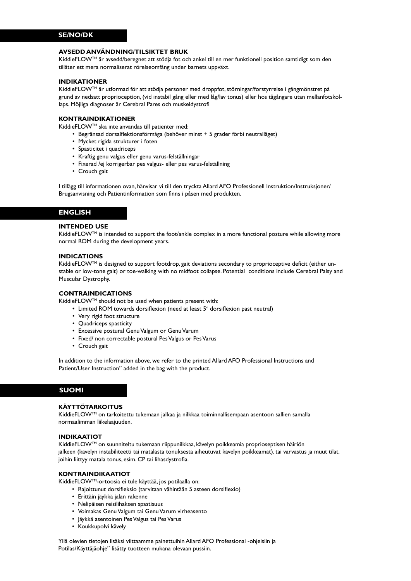## **AVSEDD ANVÄNDNING/TILSIKTET BRUK**

KiddieFLOWTM är avsedd/beregnet att stödja fot och ankel till en mer funktionell position samtidigt som den tillåter ett mera normaliserat rörelseomfång under barnets uppväxt.

## **INDIKATIONER**

KiddieFLOW™ är utformad för att stödja personer med droppfot, störningar/forstyrrelse i gångmönstret på grund av nedsatt proprioception, (vid instabil gång eller med låg/lav tonus) eller hos tågångare utan mellanfotskollaps. Möjliga diagnoser är Cerebral Pares och muskeldystrofi

# **KONTRAINDIKATIONER**

KiddieFLOWTM ska inte användas till patienter med:

- Begränsad dorsalflektionsförmåga (behöver minst + 5 grader förbi neutralläget)
- Mycket rigida strukturer i foten
- Spasticitet i quadriceps
- Kraftig genu valgus eller genu varus-felställningar
- Fixerad /ej korrigerbar pes valgus- eller pes varus-felställning
- Crouch gait

I tillägg till informationen ovan, hänvisar vi till den tryckta Allard AFO Professionell Instruktion/Instruksjoner/ Brugsanvisning och Patientinformation som finns i påsen med produkten.

# **ENGLISH**

#### **INTENDED USE**

KiddieFLOW™ is intended to support the foot/ankle complex in a more functional posture while allowing more normal ROM during the development years.

#### **INDICATIONS**

KiddieFLOW™ is designed to support footdrop, gait deviations secondary to proprioceptive deficit (either unstable or low-tone gait) or toe-walking with no midfoot collapse. Potential conditions include Cerebral Palsy and Muscular Dystrophy.

#### **CONTRAINDICATIONS**

KiddieFLOW<sup>TM</sup> should not be used when patients present with:

- Limited ROM towards dorsiflexion (need at least 5° dorsiflexion past neutral)
- Very rigid foot structure
- Quadriceps spasticity
- Excessive postural Genu Valgum or Genu Varum
- Fixed/ non correctable postural Pes Valgus or Pes Varus
- Crouch gait

In addition to the information above, we refer to the printed Allard AFO Professional Instructions and Patient/User Instruction" added in the bag with the product.

# **SUOMI**

## **KÄYTTÖTARKOITUS**

KiddieFLOWTM on tarkoitettu tukemaan jalkaa ja nilkkaa toiminnallisempaan asentoon sallien samalla normaalimman liikelaajuuden.

## **INDIKAATIOT**

KiddieFLOWTM on suunniteltu tukemaan riippunilkkaa, kävelyn poikkeamia proprioseptisen häiriön jälkeen (kävelyn instabiliteetti tai matalasta tonuksesta aiheutuvat kävelyn poikkeamat), tai varvastus ja muut tilat, joihin liittyy matala tonus, esim. CP tai lihasdystrofia.

# **KONTRAINDIKAATIOT**

KiddieFLOWTM-ortoosia ei tule käyttää, jos potilaalla on:

- Rajoittunut dorsifleksio (tarvitaan vähintään 5 asteen dorsiflexio)
- Erittäin jäykkä jalan rakenne
- Nelipäisen reisilihaksen spastisuus
- Voimakas Genu Valgum tai Genu Varum virheasento
- Jäykkä asentoinen Pes Valgus tai Pes Varus
- Koukkupolvi kävely

Yllä olevien tietojen lisäksi viittaamme painettuihin Allard AFO Professional -ohjeisiin ja Potilas/Käyttäjäohje" lisätty tuotteen mukana olevaan pussiin.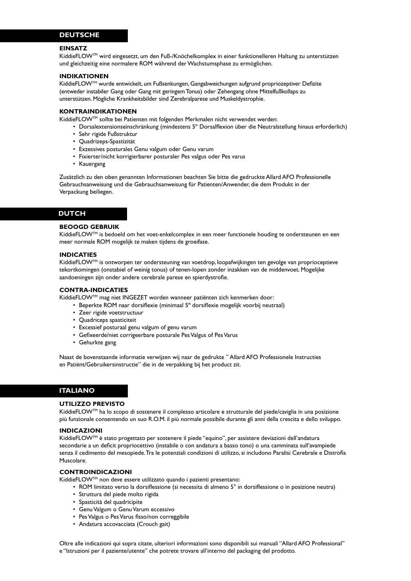# **DEUTSCHE**

#### **EINSATZ**

KiddieFLOWTM wird eingesetzt, um den Fuß-/Knöchelkomplex in einer funktionelleren Haltung zu unterstützen und gleichzeitig eine normalere ROM während der Wachstumsphase zu ermöglichen.

#### **INDIKATIONEN**

KiddieFLOW<sup>™</sup> wurde entwickelt, um Fußsenkungen, Gangabweichungen aufgrund propriozeptiver Defizite (entweder instabiler Gang oder Gang mit geringem Tonus) oder Zehengang ohne Mittelfußkollaps zu unterstützen. Mögliche Krankheitsbilder sind Zerebralparese und Muskeldystrophie.

#### **KONTRAINDIKATIONEN**

KiddieFLOWTM sollte bei Patienten mit folgenden Merkmalen nicht verwendet werden:

- Dorsalextensionseinschränkung (mindestens 5º Dorsalflexion über die Neutralstellung hinaus erforderlich)
- Sehr rigide Fußstruktur
- Quadrizeps-Spastizität
- Exzessives posturales Genu valgum oder Genu varum
- Fixierter/nicht korrigierbarer posturaler Pes valgus oder Pes varus
- Kauergang

Zusätzlich zu den oben genannten Informationen beachten Sie bitte die gedruckte Allard AFO Professionelle Gebrauchsanweisung und die Gebrauchsanweisung für Patienten/Anwender, die dem Produkt in der Verpackung beiliegen.

#### **DUTCH**

#### **BEOOGD GEBRUIK**

KiddieFLOW™ is bedoeld om het voet-enkelcomplex in een meer functionele houding te ondersteunen en een meer normale ROM mogelijk te maken tijdens de groeifase.

# **INDICATIES**

KiddieFLOWTM is ontworpen ter ondersteuning van voetdrop, loopafwijkingen ten gevolge van proprioceptieve tekortkomingen (onstabiel of weinig tonus) of tenen-lopen zonder inzakken van de middenvoet. Mogelijke aandoeningen zijn onder andere cerebrale parese en spierdystrofie.

#### **CONTRA-INDICATIES**

KiddieFLOWTM mag niet INGEZET worden wanneer patiënten zich kenmerken door:

- Beperkte ROM naar dorsiflexie (minimaal 5º dorsiflexie mogelijk voorbij neutraal)
- Zeer rigide voetstructuur
- Quadriceps spasticiteit
- Excessief posturaal genu valgum of genu varum
- Gefixeerde/niet corrigeerbare posturale Pes Valgus of Pes Varus
- Gehurkte gang

Naast de bovenstaande informatie verwijzen wij naar de gedrukte " Allard AFO Professionele Instructies en Patiënt/Gebruikersinstructie" die in de verpakking bij het product zit.

# **ITALIANO**

# **UTILIZZO PREVISTO**

KiddieFLOW™ ha lo scopo di sostenere il complesso articolare e strutturale del piede/caviglia in una posizione più funzionale consentendo un suo R.O.M. il più normale possibile durante gli anni della crescita e dello sviluppo.

#### **INDICAZIONI**

KiddieFLOWTM è stato progettato per sostenere il piede "equino", per assistere deviazioni dell'andatura secondarie a un deficit propriocettivo (instabile o con andatura a basso tono) o una camminata sull'avampiede senza il cedimento del mesopiede. Tra le potenziali condizioni di utilizzo, si includono Paralisi Cerebrale e Distrofia Muscolare.

# **CONTROINDICAZIONI**

KiddieFLOWTM non deve essere utilizzato quando i pazienti presentano:

- ROM limitato verso la dorsiflessione (si necessita di almeno 5° in dorsiflessione o in posizione neutra)
- Struttura del piede molto rigida
- Spasticità del quadricipite
- Genu Valgum o Genu Varum eccessivo
- Pes Valgus o Pes Varus fisso/non correggibile
- Andatura accovacciata (Crouch gait)

Oltre alle indicazioni qui sopra citate, ulteriori informazioni sono disponibili sui manuali "Allard AFO Professional" e "Istruzioni per il paziente/utente" che potrete trovare all'interno del packaging del prodotto.